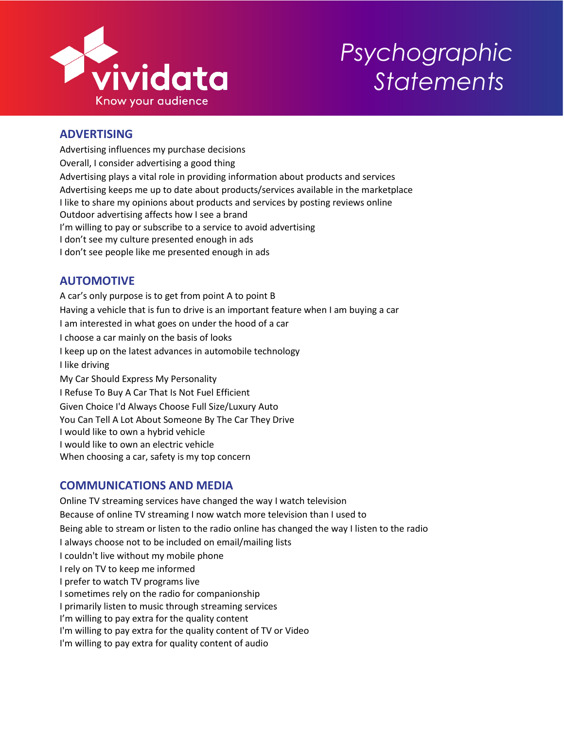

# *Psychographic Statements*

# **ADVERTISING**

Advertising influences my purchase decisions Overall, I consider advertising a good thing Advertising plays a vital role in providing information about products and services Advertising keeps me up to date about products/services available in the marketplace I like to share my opinions about products and services by posting reviews online Outdoor advertising affects how I see a brand I'm willing to pay or subscribe to a service to avoid advertising I don't see my culture presented enough in ads I don't see people like me presented enough in ads

# **AUTOMOTIVE**

A car's only purpose is to get from point A to point B Having a vehicle that is fun to drive is an important feature when I am buying a car I am interested in what goes on under the hood of a car I choose a car mainly on the basis of looks I keep up on the latest advances in automobile technology I like driving My Car Should Express My Personality I Refuse To Buy A Car That Is Not Fuel Efficient Given Choice I'd Always Choose Full Size/Luxury Auto You Can Tell A Lot About Someone By The Car They Drive I would like to own a hybrid vehicle I would like to own an electric vehicle When choosing a car, safety is my top concern

# **COMMUNICATIONS AND MEDIA**

Online TV streaming services have changed the way I watch television Because of online TV streaming I now watch more television than I used to Being able to stream or listen to the radio online has changed the way I listen to the radio I always choose not to be included on email/mailing lists I couldn't live without my mobile phone I rely on TV to keep me informed I prefer to watch TV programs live I sometimes rely on the radio for companionship I primarily listen to music through streaming services I'm willing to pay extra for the quality content I'm willing to pay extra for the quality content of TV or Video I'm willing to pay extra for quality content of audio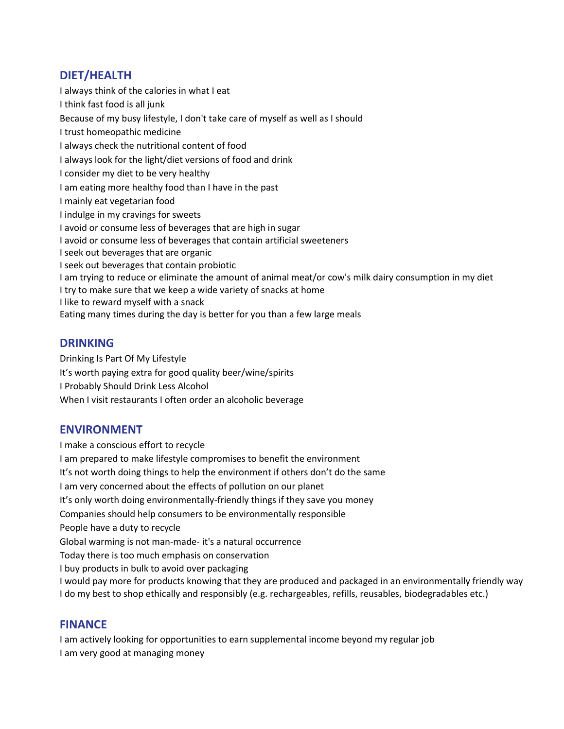## **DIET/HEALTH**

I always think of the calories in what I eat I think fast food is all junk Because of my busy lifestyle, I don't take care of myself as well as I should I trust homeopathic medicine I always check the nutritional content of food I always look for the light/diet versions of food and drink I consider my diet to be very healthy I am eating more healthy food than I have in the past I mainly eat vegetarian food I indulge in my cravings for sweets I avoid or consume less of beverages that are high in sugar I avoid or consume less of beverages that contain artificial sweeteners I seek out beverages that are organic I seek out beverages that contain probiotic I am trying to reduce or eliminate the amount of animal meat/or cow's milk dairy consumption in my diet I try to make sure that we keep a wide variety of snacks at home I like to reward myself with a snack Eating many times during the day is better for you than a few large meals

## **DRINKING**

Drinking Is Part Of My Lifestyle It's worth paying extra for good quality beer/wine/spirits I Probably Should Drink Less Alcohol When I visit restaurants I often order an alcoholic beverage

## **ENVIRONMENT**

I make a conscious effort to recycle I am prepared to make lifestyle compromises to benefit the environment It's not worth doing things to help the environment if others don't do the same I am very concerned about the effects of pollution on our planet It's only worth doing environmentally-friendly things if they save you money Companies should help consumers to be environmentally responsible People have a duty to recycle Global warming is not man-made- it's a natural occurrence Today there is too much emphasis on conservation I buy products in bulk to avoid over packaging I would pay more for products knowing that they are produced and packaged in an environmentally friendly way I do my best to shop ethically and responsibly (e.g. rechargeables, refills, reusables, biodegradables etc.)

## **FINANCE**

I am actively looking for opportunities to earn supplemental income beyond my regular job I am very good at managing money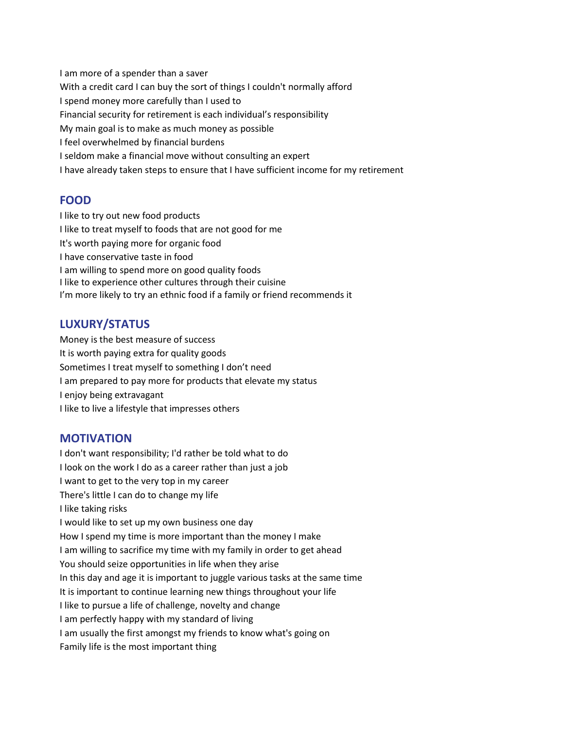I am more of a spender than a saver With a credit card I can buy the sort of things I couldn't normally afford I spend money more carefully than I used to Financial security for retirement is each individual's responsibility My main goal is to make as much money as possible I feel overwhelmed by financial burdens I seldom make a financial move without consulting an expert I have already taken steps to ensure that I have sufficient income for my retirement

#### **FOOD**

I like to try out new food products I like to treat myself to foods that are not good for me It's worth paying more for organic food I have conservative taste in food I am willing to spend more on good quality foods I like to experience other cultures through their cuisine I'm more likely to try an ethnic food if a family or friend recommends it

## **LUXURY/STATUS**

Money is the best measure of success It is worth paying extra for quality goods Sometimes I treat myself to something I don't need I am prepared to pay more for products that elevate my status I enjoy being extravagant I like to live a lifestyle that impresses others

## **MOTIVATION**

I don't want responsibility; I'd rather be told what to do I look on the work I do as a career rather than just a job I want to get to the very top in my career There's little I can do to change my life I like taking risks I would like to set up my own business one day How I spend my time is more important than the money I make I am willing to sacrifice my time with my family in order to get ahead You should seize opportunities in life when they arise In this day and age it is important to juggle various tasks at the same time It is important to continue learning new things throughout your life I like to pursue a life of challenge, novelty and change I am perfectly happy with my standard of living I am usually the first amongst my friends to know what's going on Family life is the most important thing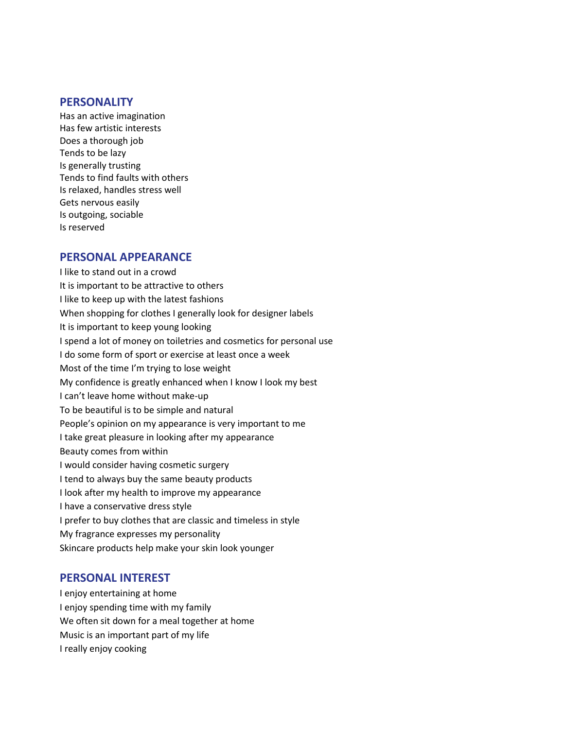#### **PERSONALITY**

Has an active imagination Has few artistic interests Does a thorough job Tends to be lazy Is generally trusting Tends to find faults with others Is relaxed, handles stress well Gets nervous easily Is outgoing, sociable Is reserved

#### **PERSONAL APPEARANCE**

I like to stand out in a crowd It is important to be attractive to others I like to keep up with the latest fashions When shopping for clothes I generally look for designer labels It is important to keep young looking I spend a lot of money on toiletries and cosmetics for personal use I do some form of sport or exercise at least once a week Most of the time I'm trying to lose weight My confidence is greatly enhanced when I know I look my best I can't leave home without make-up To be beautiful is to be simple and natural People's opinion on my appearance is very important to me I take great pleasure in looking after my appearance Beauty comes from within I would consider having cosmetic surgery I tend to always buy the same beauty products I look after my health to improve my appearance I have a conservative dress style I prefer to buy clothes that are classic and timeless in style My fragrance expresses my personality Skincare products help make your skin look younger

#### **PERSONAL INTEREST**

I enjoy entertaining at home I enjoy spending time with my family We often sit down for a meal together at home Music is an important part of my life I really enjoy cooking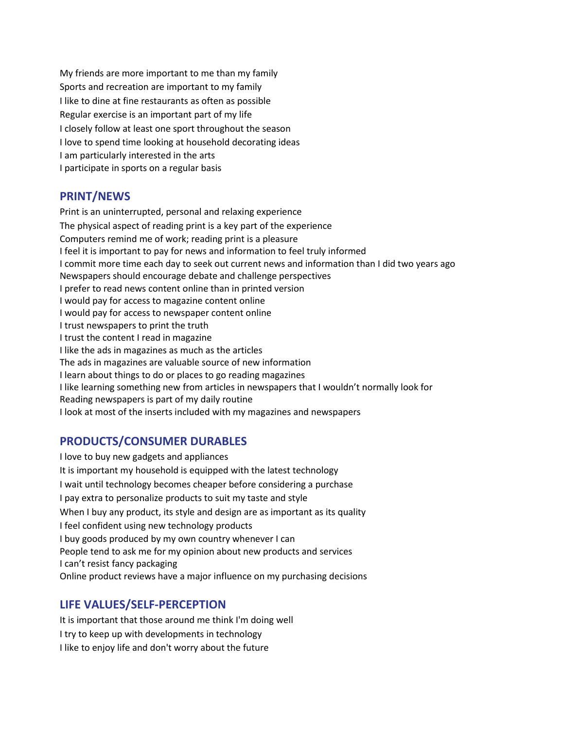My friends are more important to me than my family Sports and recreation are important to my family I like to dine at fine restaurants as often as possible Regular exercise is an important part of my life I closely follow at least one sport throughout the season I love to spend time looking at household decorating ideas I am particularly interested in the arts I participate in sports on a regular basis

#### **PRINT/NEWS**

Print is an uninterrupted, personal and relaxing experience The physical aspect of reading print is a key part of the experience Computers remind me of work; reading print is a pleasure I feel it is important to pay for news and information to feel truly informed I commit more time each day to seek out current news and information than I did two years ago Newspapers should encourage debate and challenge perspectives I prefer to read news content online than in printed version I would pay for access to magazine content online I would pay for access to newspaper content online I trust newspapers to print the truth I trust the content I read in magazine I like the ads in magazines as much as the articles The ads in magazines are valuable source of new information I learn about things to do or places to go reading magazines I like learning something new from articles in newspapers that I wouldn't normally look for Reading newspapers is part of my daily routine I look at most of the inserts included with my magazines and newspapers

#### **PRODUCTS/CONSUMER DURABLES**

I love to buy new gadgets and appliances It is important my household is equipped with the latest technology I wait until technology becomes cheaper before considering a purchase I pay extra to personalize products to suit my taste and style When I buy any product, its style and design are as important as its quality I feel confident using new technology products I buy goods produced by my own country whenever I can People tend to ask me for my opinion about new products and services I can't resist fancy packaging Online product reviews have a major influence on my purchasing decisions

## **LIFE VALUES/SELF-PERCEPTION**

It is important that those around me think I'm doing well I try to keep up with developments in technology I like to enjoy life and don't worry about the future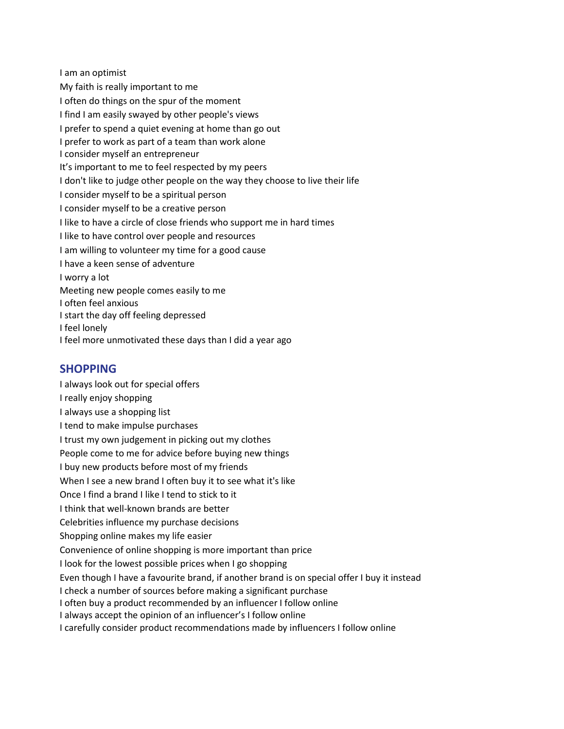I am an optimist My faith is really important to me I often do things on the spur of the moment I find I am easily swayed by other people's views I prefer to spend a quiet evening at home than go out I prefer to work as part of a team than work alone I consider myself an entrepreneur It's important to me to feel respected by my peers I don't like to judge other people on the way they choose to live their life I consider myself to be a spiritual person I consider myself to be a creative person I like to have a circle of close friends who support me in hard times I like to have control over people and resources I am willing to volunteer my time for a good cause I have a keen sense of adventure I worry a lot Meeting new people comes easily to me I often feel anxious I start the day off feeling depressed I feel lonely I feel more unmotivated these days than I did a year ago

#### **SHOPPING**

I always look out for special offers I really enjoy shopping I always use a shopping list I tend to make impulse purchases I trust my own judgement in picking out my clothes People come to me for advice before buying new things I buy new products before most of my friends When I see a new brand I often buy it to see what it's like Once I find a brand I like I tend to stick to it I think that well-known brands are better Celebrities influence my purchase decisions Shopping online makes my life easier Convenience of online shopping is more important than price I look for the lowest possible prices when I go shopping Even though I have a favourite brand, if another brand is on special offer I buy it instead I check a number of sources before making a significant purchase I often buy a product recommended by an influencer I follow online I always accept the opinion of an influencer's I follow online I carefully consider product recommendations made by influencers I follow online